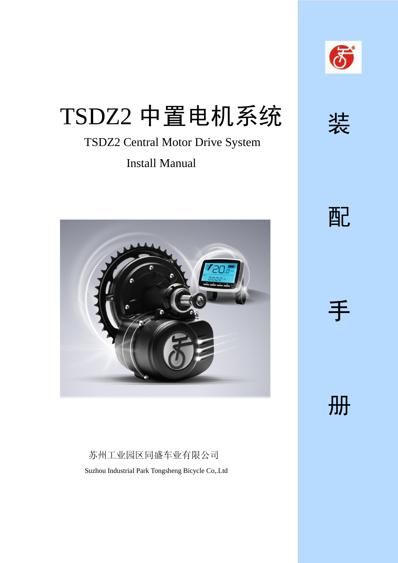

# TSDZ2 中置电机系统

### TSDZ2 Central Motor Drive System Install Manual



### 苏州工业园区同盛车业有限公司 Suzhou Industrial Park Tongsheng Bicycle Co,.Ltd



装

配

手

册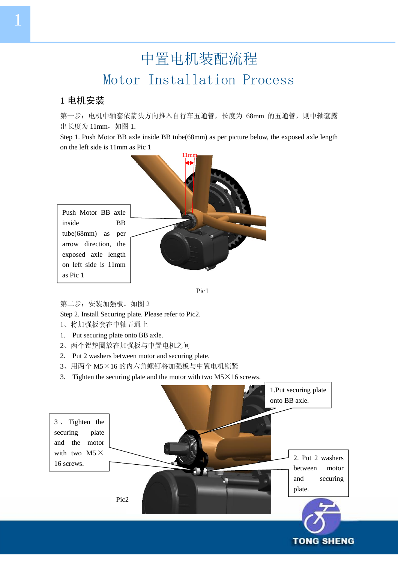## 中置电机装配流程 Motor Installation Process

#### 1 电机安装

第一步: 电机中轴套依箭头方向推入自行车五通管,长度为 68mm 的五通管, 则中轴套露 出长度为 11mm, 如图 1.

Step 1. Push Motor BB axle inside BB tube(68mm) as per picture below, the exposed axle length on the left side is 11mm as Pic 1





第二步: 安装加强板。如图 2

Step 2. Install Securing plate. Please refer to Pic2.

- 1、将加强板套在中轴五通上
- 1. Put securing plate onto BB axle.
- 2、两个铝垫圈放在加强板与中置电机之间
- 2. Put 2 washers between motor and securing plate.
- 3、用两个 M5×16 的内六角螺钉将加强板与中置电机锁紧
- 3. Tighten the securing plate and the motor with two  $M5 \times 16$  screws.

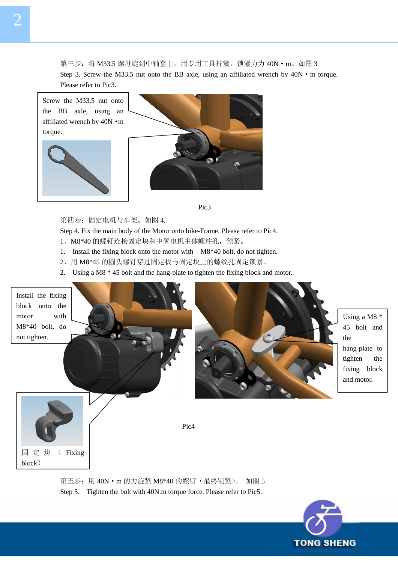第三步: 将 M33.5 螺母旋到中轴套上, 用专用工具拧紧, 锁紧力为 40N · m。如图 3 Step 3. Screw the M33.5 nut onto the BB axle, using an affiliated wrench by  $40N \cdot m$  torque. Please refer to Pic3.



Pic3

第四步:固定电机与车架。如图 4.

Step 4. Fix the main body of the Motor onto bike-Frame. Please refer to Pic4.

- 1、M8\*40 的螺钉连接固定块和中置电机主体螺柱孔, 预紧。
- 1. Install the fixing block onto the motor with M8\*40 bolt, do not tighten.
- 2、用 M8\*45 的圆头螺钉穿过固定板与固定块上的螺纹孔固定锁紧。
- 2. Using a M8 \* 45 bolt and the hang-plate to tighten the fixing block and motor.



第五步: 用 40N · m 的力旋紧 M8\*40 的螺钉 (最终锁紧)。 如图 5 Step 5. Tighten the bolt with 40N.m torque force. Please refer to Pic5.

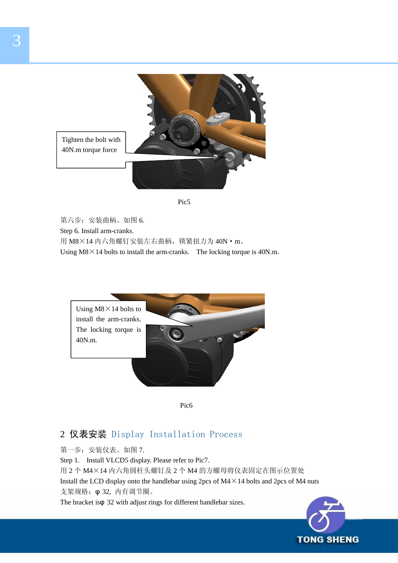



第六步: 安装曲柄。如图 6. Step 6. Install arm-cranks. 用 M8×14 内六角螺钉安装左右曲柄, 锁紧扭力为 40N · m。 Using  $M8 \times 14$  bolts to install the arm-cranks. The locking torque is 40N.m.



Pic6

#### 2 仪表安装 Display Installation Process

第一步: 安装仪表。如图 7. Step 1. Install VLCD5 display. Please refer to Pic7. 用 2 个 M4×14 内六角圆柱头螺钉及 2 个 M4 的方螺母将仪表固定在图示位置处 Install the LCD display onto the handlebar using  $2pcs$  of M4 $\times$ 14 bolts and  $2pcs$  of M4 nuts 支架规格:φ 32, 内有调节圈。 The bracket isφ 32 with adjust rings for different handlebar sizes.

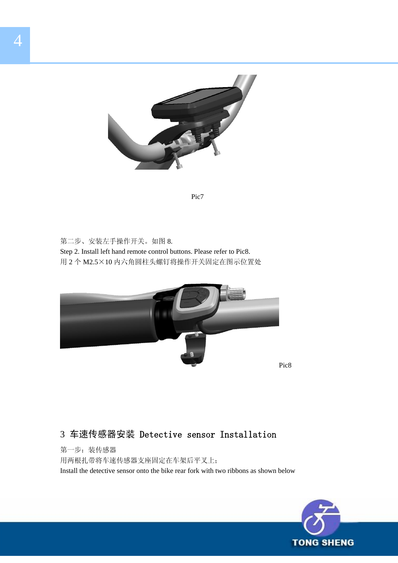

Pic7

第二步、安装左手操作开关。如图 8. Step 2. Install left hand remote control buttons. Please refer to Pic8. 用 2 个 M2.5×10 内六角圆柱头螺钉将操作开关固定在图示位置处



#### 3 车速传感器安装 Detective sensor Installation

第一步:装传感器 用两根扎带将车速传感器支座固定在车架后平叉上; Install the detective sensor onto the bike rear fork with two ribbons as shown below

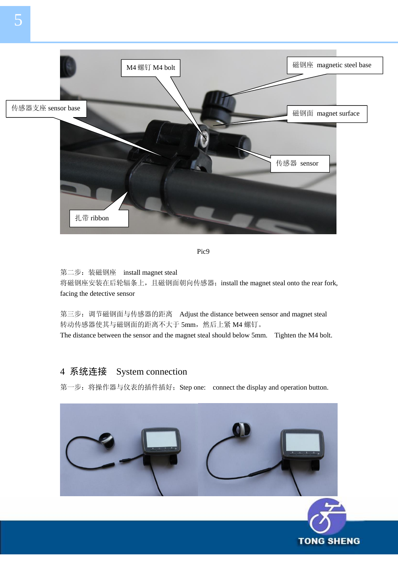

Pic<sup>9</sup>

第二步: 装磁钢座 install magnet steal 将磁钢座安装在后轮辐条上,且磁钢面朝向传感器; install the magnet steal onto the rear fork, facing the detective sensor

第三步: 调节磁钢面与传感器的距离 Adjust the distance between sensor and magnet steal 转动传感器使其与磁钢面的距离不大于 5mm, 然后上紧 M4 螺钉。 The distance between the sensor and the magnet steal should below 5mm. Tighten the M4 bolt.

#### 4 系统连接 System connection

第一步: 将操作器与仪表的插件插好; Step one: connect the display and operation button.

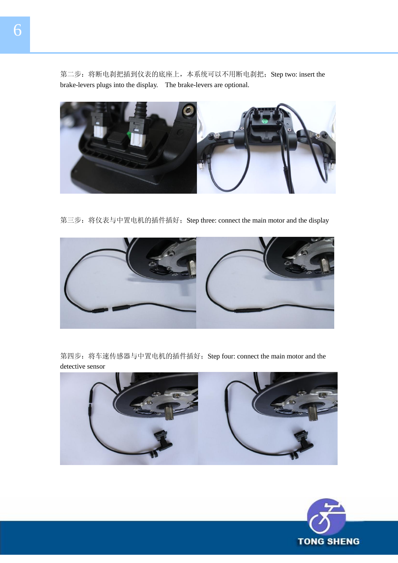第二步: 将断电刹把插到仪表的底座上,本系统可以不用断电刹把; Step two: insert the brake-levers plugs into the display. The brake-levers are optional.



第三步: 将仪表与中置电机的插件插好; Step three: connect the main motor and the display



第四步: 将车速传感器与中置电机的插件插好; Step four: connect the main motor and the detective sensor



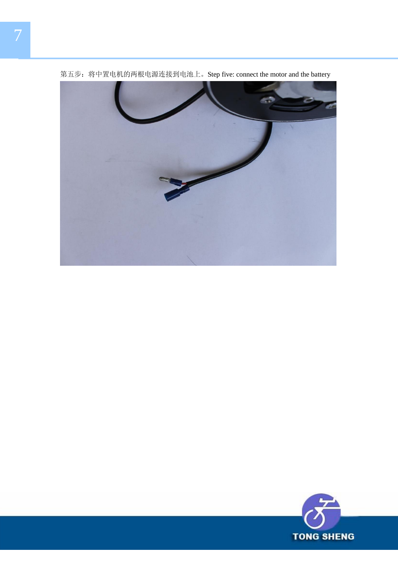

第五步:将中置电机的两根电源连接到电池上。Step five: connect the motor and the battery

![](_page_7_Picture_2.jpeg)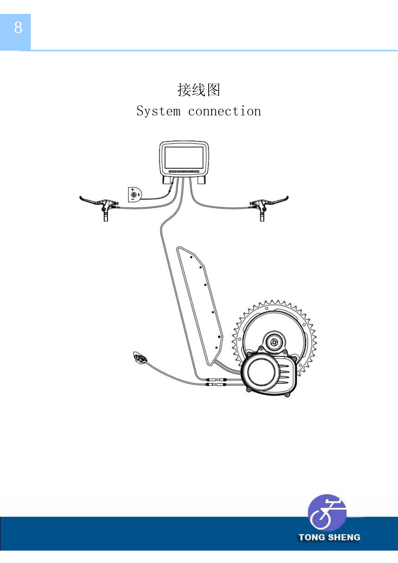![](_page_8_Picture_0.jpeg)

**TONG SHENG** 

8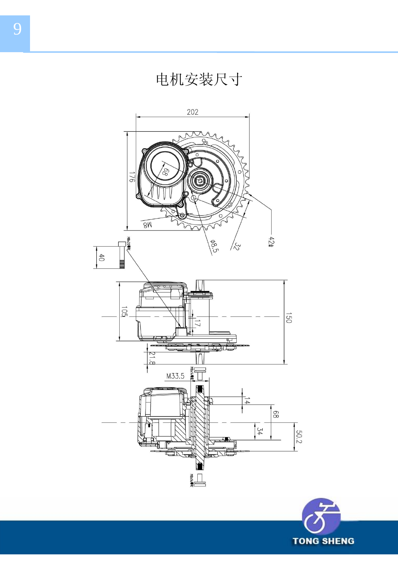![](_page_9_Picture_1.jpeg)

![](_page_9_Picture_2.jpeg)